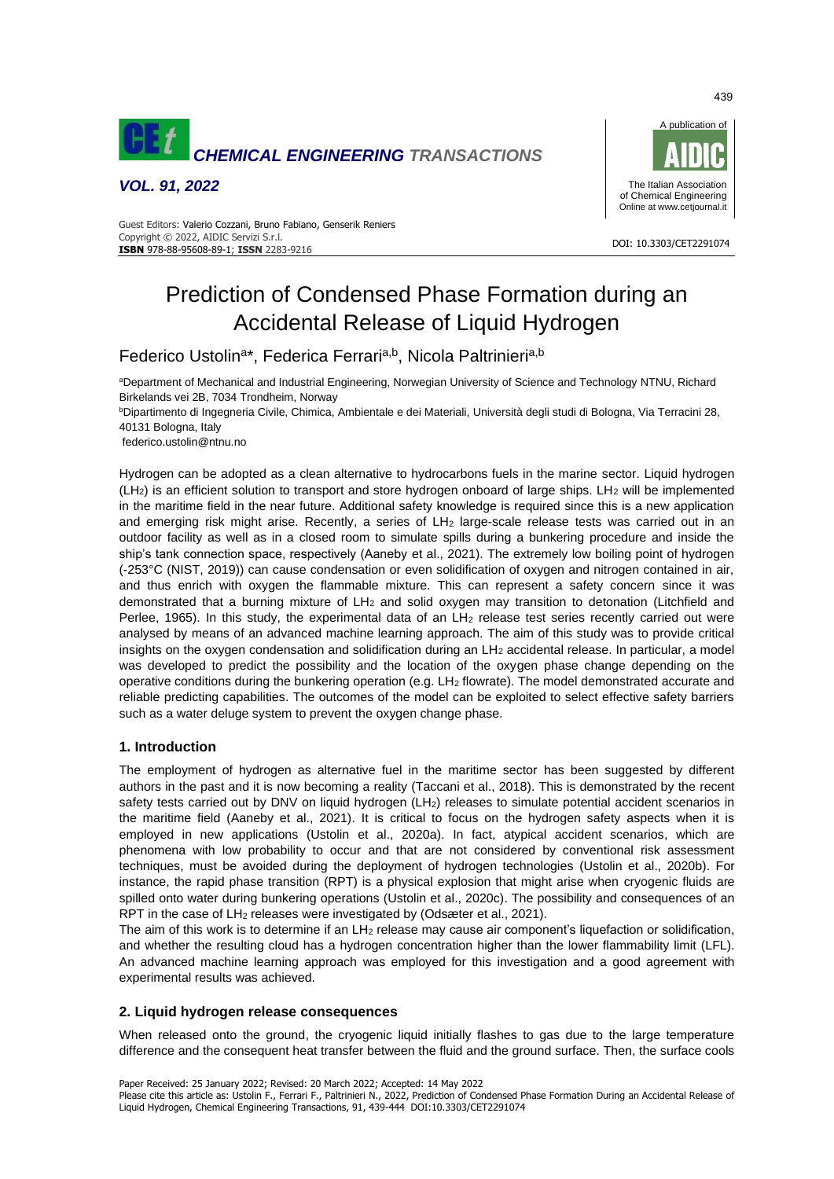

*VOL. 91, 2022*



#### DOI: 10.3303/CET2291074 **ISBN** 978-88-95608-89-1; **ISSN** 2283-9216 Guest Editors: Valerio Cozzani, Bruno Fabiano, Genserik Reniers Copyright © 2022, AIDIC Servizi S.r.l.

# Prediction of Condensed Phase Formation during an Accidental Release of Liquid Hydrogen

Federico Ustolin<sup>a\*</sup>, Federica Ferrari<sup>a,b</sup>, Nicola Paltrinieri<sup>a,b</sup>

aDepartment of Mechanical and Industrial Engineering, Norwegian University of Science and Technology NTNU, Richard Birkelands vei 2B, 7034 Trondheim, Norway

<sup>b</sup>Dipartimento di Ingegneria Civile, Chimica, Ambientale e dei Materiali, Università degli studi di Bologna, Via Terracini 28, 40131 Bologna, Italy

federico.ustolin@ntnu.no

Hydrogen can be adopted as a clean alternative to hydrocarbons fuels in the marine sector. Liquid hydrogen  $(LH<sub>2</sub>)$  is an efficient solution to transport and store hydrogen onboard of large ships. LH<sub>2</sub> will be implemented in the maritime field in the near future. Additional safety knowledge is required since this is a new application and emerging risk might arise. Recently, a series of LH<sub>2</sub> large-scale release tests was carried out in an outdoor facility as well as in a closed room to simulate spills during a bunkering procedure and inside the ship's tank connection space, respectively (Aaneby et al., 2021). The extremely low boiling point of hydrogen (-253°C (NIST, 2019)) can cause condensation or even solidification of oxygen and nitrogen contained in air, and thus enrich with oxygen the flammable mixture. This can represent a safety concern since it was demonstrated that a burning mixture of LH<sub>2</sub> and solid oxygen may transition to detonation (Litchfield and Perlee, 1965). In this study, the experimental data of an LH<sub>2</sub> release test series recently carried out were analysed by means of an advanced machine learning approach. The aim of this study was to provide critical insights on the oxygen condensation and solidification during an LH<sub>2</sub> accidental release. In particular, a model was developed to predict the possibility and the location of the oxygen phase change depending on the operative conditions during the bunkering operation (e.g. LH<sub>2</sub> flowrate). The model demonstrated accurate and reliable predicting capabilities. The outcomes of the model can be exploited to select effective safety barriers such as a water deluge system to prevent the oxygen change phase.

# **1. Introduction**

The employment of hydrogen as alternative fuel in the maritime sector has been suggested by different authors in the past and it is now becoming a reality (Taccani et al., 2018). This is demonstrated by the recent safety tests carried out by DNV on liquid hydrogen (LH<sub>2</sub>) releases to simulate potential accident scenarios in the maritime field (Aaneby et al., 2021). It is critical to focus on the hydrogen safety aspects when it is employed in new applications (Ustolin et al., 2020a). In fact, atypical accident scenarios, which are phenomena with low probability to occur and that are not considered by conventional risk assessment techniques, must be avoided during the deployment of hydrogen technologies (Ustolin et al., 2020b). For instance, the rapid phase transition (RPT) is a physical explosion that might arise when cryogenic fluids are spilled onto water during bunkering operations (Ustolin et al., 2020c). The possibility and consequences of an RPT in the case of LH<sup>2</sup> releases were investigated by (Odsæter et al., 2021).

The aim of this work is to determine if an LH<sub>2</sub> release may cause air component's liquefaction or solidification, and whether the resulting cloud has a hydrogen concentration higher than the lower flammability limit (LFL). An advanced machine learning approach was employed for this investigation and a good agreement with experimental results was achieved.

### **2. Liquid hydrogen release consequences**

When released onto the ground, the cryogenic liquid initially flashes to gas due to the large temperature difference and the consequent heat transfer between the fluid and the ground surface. Then, the surface cools

Paper Received: 25 January 2022; Revised: 20 March 2022; Accepted: 14 May 2022

439

Please cite this article as: Ustolin F., Ferrari F., Paltrinieri N., 2022, Prediction of Condensed Phase Formation During an Accidental Release of Liquid Hydrogen, Chemical Engineering Transactions, 91, 439-444 DOI:10.3303/CET2291074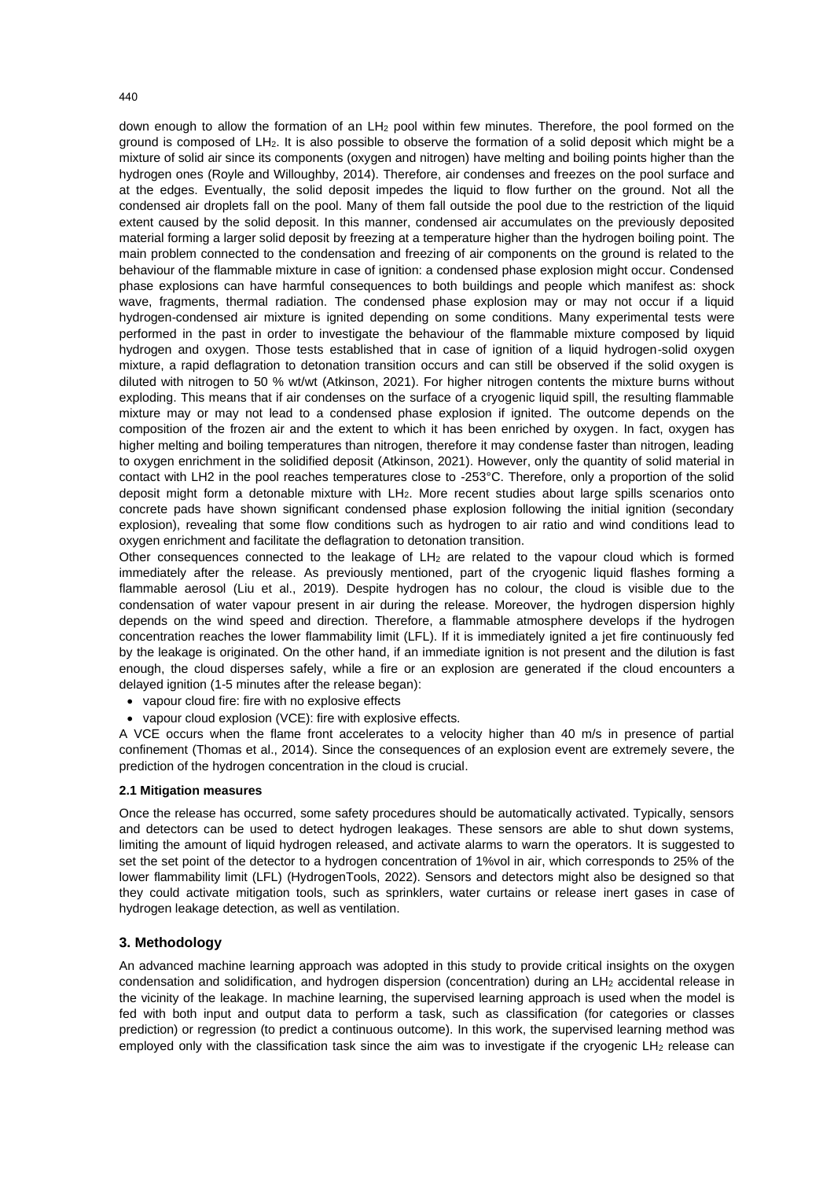440

down enough to allow the formation of an  $LH<sub>2</sub>$  pool within few minutes. Therefore, the pool formed on the ground is composed of LH2. It is also possible to observe the formation of a solid deposit which might be a mixture of solid air since its components (oxygen and nitrogen) have melting and boiling points higher than the hydrogen ones (Royle and Willoughby, 2014). Therefore, air condenses and freezes on the pool surface and at the edges. Eventually, the solid deposit impedes the liquid to flow further on the ground. Not all the condensed air droplets fall on the pool. Many of them fall outside the pool due to the restriction of the liquid extent caused by the solid deposit. In this manner, condensed air accumulates on the previously deposited material forming a larger solid deposit by freezing at a temperature higher than the hydrogen boiling point. The main problem connected to the condensation and freezing of air components on the ground is related to the behaviour of the flammable mixture in case of ignition: a condensed phase explosion might occur. Condensed phase explosions can have harmful consequences to both buildings and people which manifest as: shock wave, fragments, thermal radiation. The condensed phase explosion may or may not occur if a liquid hydrogen-condensed air mixture is ignited depending on some conditions. Many experimental tests were performed in the past in order to investigate the behaviour of the flammable mixture composed by liquid hydrogen and oxygen. Those tests established that in case of ignition of a liquid hydrogen-solid oxygen mixture, a rapid deflagration to detonation transition occurs and can still be observed if the solid oxygen is diluted with nitrogen to 50 % wt/wt (Atkinson, 2021). For higher nitrogen contents the mixture burns without exploding. This means that if air condenses on the surface of a cryogenic liquid spill, the resulting flammable mixture may or may not lead to a condensed phase explosion if ignited. The outcome depends on the composition of the frozen air and the extent to which it has been enriched by oxygen. In fact, oxygen has higher melting and boiling temperatures than nitrogen, therefore it may condense faster than nitrogen, leading to oxygen enrichment in the solidified deposit (Atkinson, 2021). However, only the quantity of solid material in contact with LH2 in the pool reaches temperatures close to -253°C. Therefore, only a proportion of the solid deposit might form a detonable mixture with LH2. More recent studies about large spills scenarios onto concrete pads have shown significant condensed phase explosion following the initial ignition (secondary explosion), revealing that some flow conditions such as hydrogen to air ratio and wind conditions lead to oxygen enrichment and facilitate the deflagration to detonation transition.

Other consequences connected to the leakage of  $LH<sub>2</sub>$  are related to the vapour cloud which is formed immediately after the release. As previously mentioned, part of the cryogenic liquid flashes forming a flammable aerosol (Liu et al., 2019). Despite hydrogen has no colour, the cloud is visible due to the condensation of water vapour present in air during the release. Moreover, the hydrogen dispersion highly depends on the wind speed and direction. Therefore, a flammable atmosphere develops if the hydrogen concentration reaches the lower flammability limit (LFL). If it is immediately ignited a jet fire continuously fed by the leakage is originated. On the other hand, if an immediate ignition is not present and the dilution is fast enough, the cloud disperses safely, while a fire or an explosion are generated if the cloud encounters a delayed ignition (1-5 minutes after the release began):

- vapour cloud fire: fire with no explosive effects
- vapour cloud explosion (VCE): fire with explosive effects.

A VCE occurs when the flame front accelerates to a velocity higher than 40 m/s in presence of partial confinement (Thomas et al., 2014). Since the consequences of an explosion event are extremely severe, the prediction of the hydrogen concentration in the cloud is crucial.

# **2.1 Mitigation measures**

Once the release has occurred, some safety procedures should be automatically activated. Typically, sensors and detectors can be used to detect hydrogen leakages. These sensors are able to shut down systems, limiting the amount of liquid hydrogen released, and activate alarms to warn the operators. It is suggested to set the set point of the detector to a hydrogen concentration of 1%vol in air, which corresponds to 25% of the lower flammability limit (LFL) (HydrogenTools, 2022). Sensors and detectors might also be designed so that they could activate mitigation tools, such as sprinklers, water curtains or release inert gases in case of hydrogen leakage detection, as well as ventilation.

# **3. Methodology**

An advanced machine learning approach was adopted in this study to provide critical insights on the oxygen condensation and solidification, and hydrogen dispersion (concentration) during an LH<sup>2</sup> accidental release in the vicinity of the leakage. In machine learning, the supervised learning approach is used when the model is fed with both input and output data to perform a task, such as classification (for categories or classes prediction) or regression (to predict a continuous outcome). In this work, the supervised learning method was employed only with the classification task since the aim was to investigate if the cryogenic LH<sub>2</sub> release can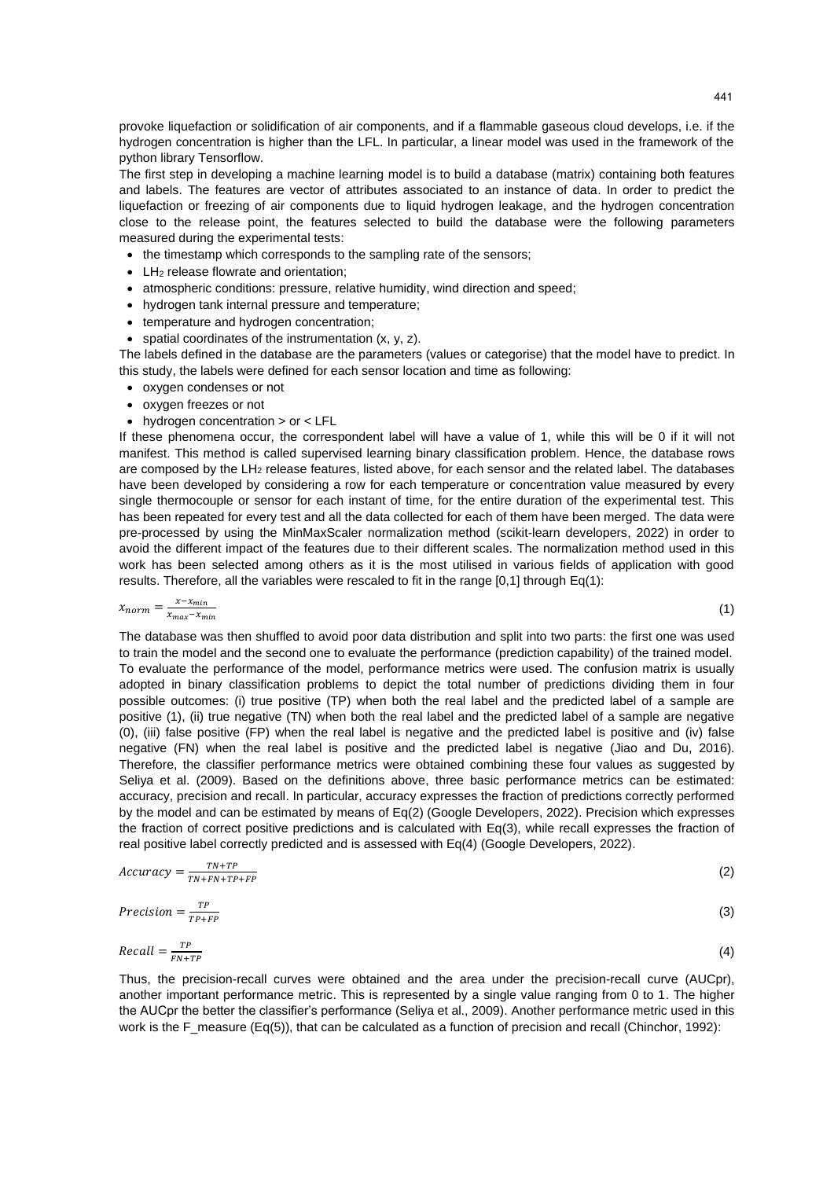provoke liquefaction or solidification of air components, and if a flammable gaseous cloud develops, i.e. if the hydrogen concentration is higher than the LFL. In particular, a linear model was used in the framework of the python library Tensorflow.

The first step in developing a machine learning model is to build a database (matrix) containing both features and labels. The features are vector of attributes associated to an instance of data. In order to predict the liquefaction or freezing of air components due to liquid hydrogen leakage, and the hydrogen concentration close to the release point, the features selected to build the database were the following parameters measured during the experimental tests:

- the timestamp which corresponds to the sampling rate of the sensors;
- LH<sub>2</sub> release flowrate and orientation:
- atmospheric conditions: pressure, relative humidity, wind direction and speed;
- hydrogen tank internal pressure and temperature;
- temperature and hydrogen concentration;
- spatial coordinates of the instrumentation (x, y, z).

The labels defined in the database are the parameters (values or categorise) that the model have to predict. In this study, the labels were defined for each sensor location and time as following:

- oxygen condenses or not
- oxygen freezes or not
- hydrogen concentration > or < LFL

If these phenomena occur, the correspondent label will have a value of 1, while this will be 0 if it will not manifest. This method is called supervised learning binary classification problem. Hence, the database rows are composed by the LH<sub>2</sub> release features, listed above, for each sensor and the related label. The databases have been developed by considering a row for each temperature or concentration value measured by every single thermocouple or sensor for each instant of time, for the entire duration of the experimental test. This has been repeated for every test and all the data collected for each of them have been merged. The data were pre-processed by using the MinMaxScaler normalization method (scikit-learn developers, 2022) in order to avoid the different impact of the features due to their different scales. The normalization method used in this work has been selected among others as it is the most utilised in various fields of application with good results. Therefore, all the variables were rescaled to fit in the range [0,1] through Eq(1):

$$
x_{norm} = \frac{x - x_{min}}{x_{max} - x_{min}} \tag{1}
$$

The database was then shuffled to avoid poor data distribution and split into two parts: the first one was used to train the model and the second one to evaluate the performance (prediction capability) of the trained model. To evaluate the performance of the model, performance metrics were used. The confusion matrix is usually adopted in binary classification problems to depict the total number of predictions dividing them in four possible outcomes: (i) true positive (TP) when both the real label and the predicted label of a sample are positive (1), (ii) true negative (TN) when both the real label and the predicted label of a sample are negative (0), (iii) false positive (FP) when the real label is negative and the predicted label is positive and (iv) false negative (FN) when the real label is positive and the predicted label is negative (Jiao and Du, 2016). Therefore, the classifier performance metrics were obtained combining these four values as suggested by Seliya et al. (2009). Based on the definitions above, three basic performance metrics can be estimated: accuracy, precision and recall. In particular, accuracy expresses the fraction of predictions correctly performed by the model and can be estimated by means of Eq(2) (Google Developers, 2022). Precision which expresses the fraction of correct positive predictions and is calculated with Eq(3), while recall expresses the fraction of real positive label correctly predicted and is assessed with Eq(4) (Google Developers, 2022).

$$
Accuracy = \frac{TN + TP}{TN + FN + TP + FP} \tag{2}
$$

$$
Precision = \frac{TP}{TP + FP}
$$
 (3)

$$
Recall = \frac{TP}{FN + TP}
$$
 (4)

Thus, the precision-recall curves were obtained and the area under the precision-recall curve (AUCpr), another important performance metric. This is represented by a single value ranging from 0 to 1. The higher the AUCpr the better the classifier's performance (Seliya et al., 2009). Another performance metric used in this work is the F\_measure (Eq(5)), that can be calculated as a function of precision and recall (Chinchor, 1992);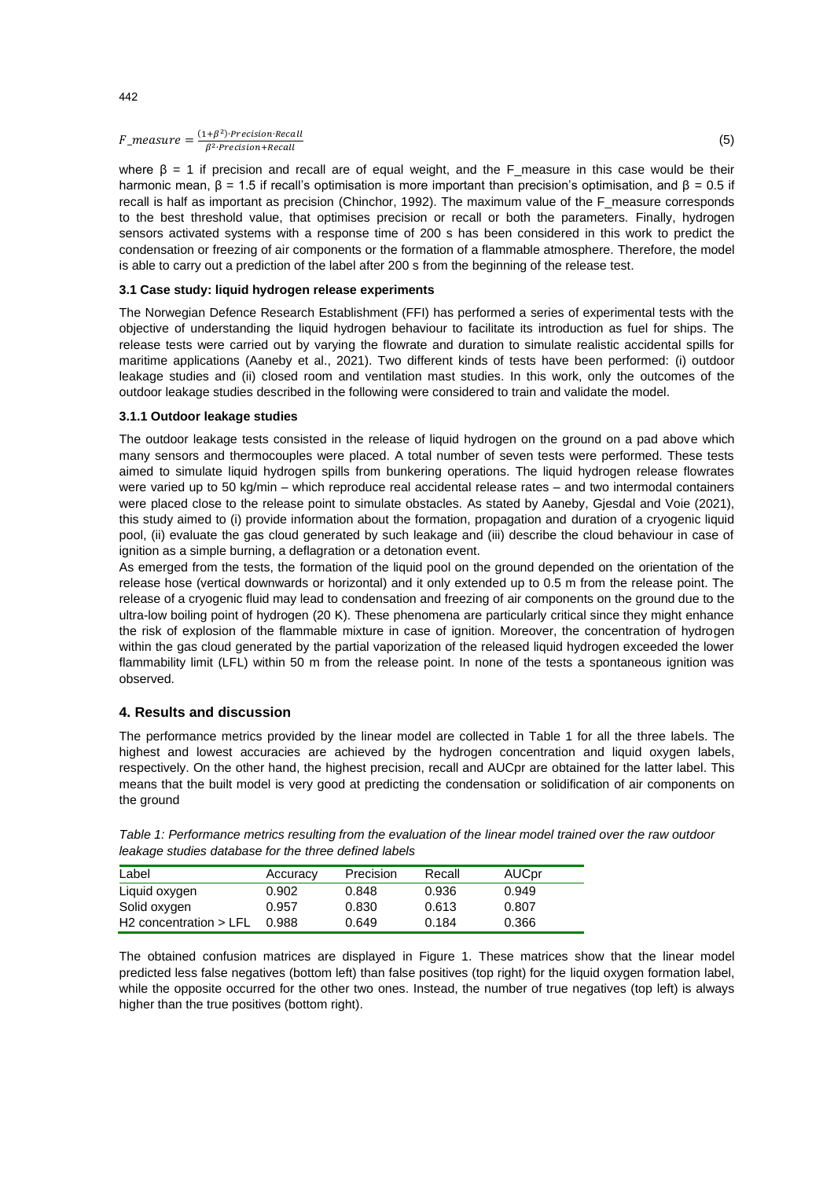$F_{\perp}$ measure =  $\frac{(1+\beta^2) \cdot Precision \cdot Recall}{\beta^2 \cdot Precision \cdot Recall}$ β<sup>2</sup>·Precision+Recall

where  $\beta = 1$  if precision and recall are of equal weight, and the F\_measure in this case would be their harmonic mean,  $β = 1.5$  if recall's optimisation is more important than precision's optimisation, and  $β = 0.5$  if recall is half as important as precision (Chinchor, 1992). The maximum value of the F\_measure corresponds to the best threshold value, that optimises precision or recall or both the parameters. Finally, hydrogen sensors activated systems with a response time of 200 s has been considered in this work to predict the condensation or freezing of air components or the formation of a flammable atmosphere. Therefore, the model is able to carry out a prediction of the label after 200 s from the beginning of the release test.

### **3.1 Case study: liquid hydrogen release experiments**

The Norwegian Defence Research Establishment (FFI) has performed a series of experimental tests with the objective of understanding the liquid hydrogen behaviour to facilitate its introduction as fuel for ships. The release tests were carried out by varying the flowrate and duration to simulate realistic accidental spills for maritime applications (Aaneby et al., 2021). Two different kinds of tests have been performed: (i) outdoor leakage studies and (ii) closed room and ventilation mast studies. In this work, only the outcomes of the outdoor leakage studies described in the following were considered to train and validate the model.

#### **3.1.1 Outdoor leakage studies**

The outdoor leakage tests consisted in the release of liquid hydrogen on the ground on a pad above which many sensors and thermocouples were placed. A total number of seven tests were performed. These tests aimed to simulate liquid hydrogen spills from bunkering operations. The liquid hydrogen release flowrates were varied up to 50 kg/min – which reproduce real accidental release rates – and two intermodal containers were placed close to the release point to simulate obstacles. As stated by Aaneby, Gjesdal and Voie (2021), this study aimed to (i) provide information about the formation, propagation and duration of a cryogenic liquid pool, (ii) evaluate the gas cloud generated by such leakage and (iii) describe the cloud behaviour in case of ignition as a simple burning, a deflagration or a detonation event.

As emerged from the tests, the formation of the liquid pool on the ground depended on the orientation of the release hose (vertical downwards or horizontal) and it only extended up to 0.5 m from the release point. The release of a cryogenic fluid may lead to condensation and freezing of air components on the ground due to the ultra-low boiling point of hydrogen (20 K). These phenomena are particularly critical since they might enhance the risk of explosion of the flammable mixture in case of ignition. Moreover, the concentration of hydrogen within the gas cloud generated by the partial vaporization of the released liquid hydrogen exceeded the lower flammability limit (LFL) within 50 m from the release point. In none of the tests a spontaneous ignition was observed.

# **4. Results and discussion**

The performance metrics provided by the linear model are collected in Table 1 for all the three labels. The highest and lowest accuracies are achieved by the hydrogen concentration and liquid oxygen labels, respectively. On the other hand, the highest precision, recall and AUCpr are obtained for the latter label. This means that the built model is very good at predicting the condensation or solidification of air components on the ground

| Label                      | Accuracy | Precision | Recall | <b>AUCpr</b> |
|----------------------------|----------|-----------|--------|--------------|
| Liquid oxygen              | 0.902    | 0.848     | 0.936  | 0.949        |
| Solid oxygen               | 0.957    | 0.830     | 0.613  | 0.807        |
| $H2$ concentration $>$ LFL | 0.988    | 0.649     | 0.184  | 0.366        |

*Table 1: Performance metrics resulting from the evaluation of the linear model trained over the raw outdoor leakage studies database for the three defined labels*

The obtained confusion matrices are displayed in Figure 1. These matrices show that the linear model predicted less false negatives (bottom left) than false positives (top right) for the liquid oxygen formation label, while the opposite occurred for the other two ones. Instead, the number of true negatives (top left) is always higher than the true positives (bottom right).

442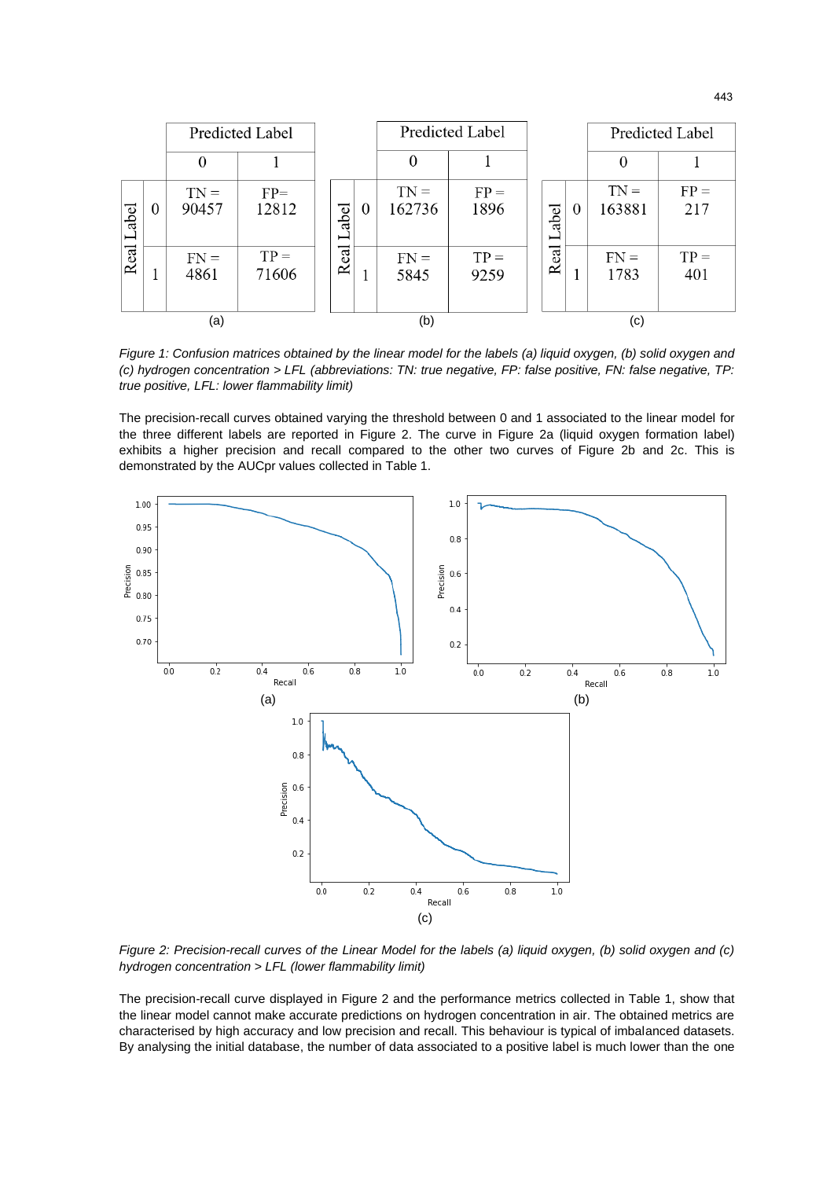|                   |          | Predicted Label |                 |  |                            |   | <b>Predicted Label</b> |                |     |                   |          |                  | <b>Predicted Label</b> |
|-------------------|----------|-----------------|-----------------|--|----------------------------|---|------------------------|----------------|-----|-------------------|----------|------------------|------------------------|
|                   |          | $\theta$        |                 |  |                            |   | $\Omega$               |                |     |                   |          |                  |                        |
| abel<br>⊢<br>Real | $\theta$ | $TN =$<br>90457 | $FP=$<br>12812  |  | abel                       | 0 | $TN =$<br>162736       | $FP =$<br>1896 |     | abel<br>⊢<br>Real | $\theta$ | $TN =$<br>163881 | $FP =$<br>217          |
|                   | ш        | $FN =$<br>4861  | $TP =$<br>71606 |  | $_{\rm{cal}}$<br>$\approx$ |   | $FN =$<br>5845         | $TP =$<br>9259 |     |                   |          | $FN =$<br>1783   | $TP =$<br>401          |
| (a)               |          |                 |                 |  | (b)                        |   |                        |                | (c) |                   |          |                  |                        |

*Figure 1: Confusion matrices obtained by the linear model for the labels (a) liquid oxygen, (b) solid oxygen and (c) hydrogen concentration > LFL (abbreviations: TN: true negative, FP: false positive, FN: false negative, TP: true positive, LFL: lower flammability limit)*

The precision-recall curves obtained varying the threshold between 0 and 1 associated to the linear model for the three different labels are reported in Figure 2. The curve in Figure 2a (liquid oxygen formation label) exhibits a higher precision and recall compared to the other two curves of Figure 2b and 2c. This is demonstrated by the AUCpr values collected in Table 1.



*Figure 2: Precision-recall curves of the Linear Model for the labels (a) liquid oxygen, (b) solid oxygen and (c) hydrogen concentration > LFL (lower flammability limit)*

The precision-recall curve displayed in Figure 2 and the performance metrics collected in Table 1, show that the linear model cannot make accurate predictions on hydrogen concentration in air. The obtained metrics are characterised by high accuracy and low precision and recall. This behaviour is typical of imbalanced datasets. By analysing the initial database, the number of data associated to a positive label is much lower than the one